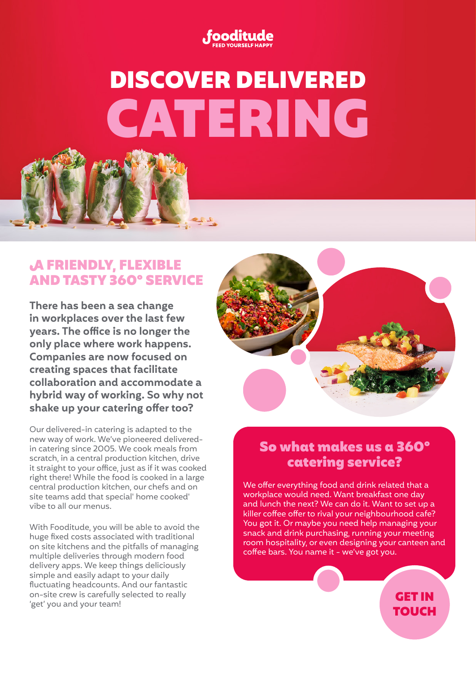

# DISCOVER DELIVERED CATERING



**There has been a sea change in workplaces over the last few years. The office is no longer the only place where work happens. Companies are now focused on creating spaces that facilitate collaboration and accommodate a hybrid way of working. So why not shake up your catering offer too?**

Our delivered-in catering is adapted to the new way of work. We've pioneered deliveredin catering since 2005. We cook meals from scratch, in a central production kitchen, drive it straight to your office, just as if it was cooked right there! While the food is cooked in a large central production kitchen, our chefs and on site teams add that special' home cooked' vibe to all our menus.

With Fooditude, you will be able to avoid the huge fixed costs associated with traditional on site kitchens and the pitfalls of managing multiple deliveries through modern food delivery apps. We keep things deliciously simple and easily adapt to your daily fluctuating headcounts. And our fantastic on-site crew is carefully selected to really 'get' you and your team!



### So what makes us a 360° catering service?

We offer everything food and drink related that a workplace would need. Want breakfast one day and lunch the next? We can do it. Want to set up a killer coffee offer to rival your neighbourhood cafe? You got it. Or maybe you need help managing your snack and drink purchasing, running your meeting room hospitality, or even designing your canteen and coffee bars. You name it - we've got you.

> GET IN **[TOUCH](mailto:ccovello%40fooditude.co.uk?subject=)**